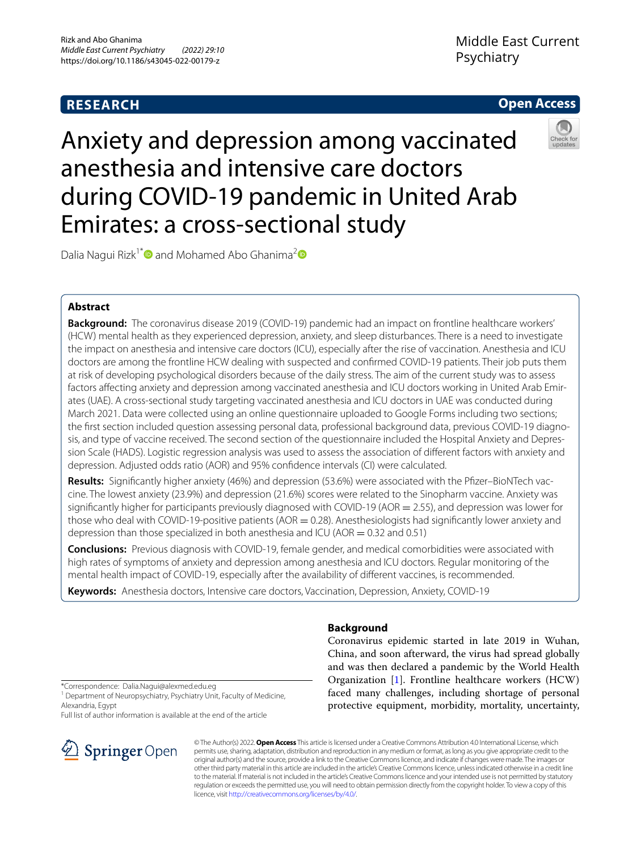# **RESEARCH**

## **Open Access**



Anxiety and depression among vaccinated anesthesia and intensive care doctors during COVID-19 pandemic in United Arab Emirates: a cross-sectional study

Dalia Nagui Rizk<sup>1[\\*](http://orcid.org/0000-0002-8646-2008)</sup> and Mohamed Abo Ghanima<sup>[2](https://orcid.org/0000-0002-9938-6809)</sup><sup>®</sup>

## **Abstract**

**Background:** The coronavirus disease 2019 (COVID-19) pandemic had an impact on frontline healthcare workers' (HCW) mental health as they experienced depression, anxiety, and sleep disturbances. There is a need to investigate the impact on anesthesia and intensive care doctors (ICU), especially after the rise of vaccination. Anesthesia and ICU doctors are among the frontline HCW dealing with suspected and confrmed COVID-19 patients. Their job puts them at risk of developing psychological disorders because of the daily stress. The aim of the current study was to assess factors afecting anxiety and depression among vaccinated anesthesia and ICU doctors working in United Arab Emirates (UAE). A cross-sectional study targeting vaccinated anesthesia and ICU doctors in UAE was conducted during March 2021. Data were collected using an online questionnaire uploaded to Google Forms including two sections; the frst section included question assessing personal data, professional background data, previous COVID-19 diagnosis, and type of vaccine received. The second section of the questionnaire included the Hospital Anxiety and Depression Scale (HADS). Logistic regression analysis was used to assess the association of diferent factors with anxiety and depression. Adjusted odds ratio (AOR) and 95% confdence intervals (CI) were calculated.

**Results:** Signifcantly higher anxiety (46%) and depression (53.6%) were associated with the Pfzer–BioNTech vaccine. The lowest anxiety (23.9%) and depression (21.6%) scores were related to the Sinopharm vaccine. Anxiety was significantly higher for participants previously diagnosed with COVID-19 (AOR  $=$  2.55), and depression was lower for those who deal with COVID-19-positive patients ( $AOR = 0.28$ ). Anesthesiologists had significantly lower anxiety and depression than those specialized in both anesthesia and ICU (AOR  $= 0.32$  and 0.51)

**Conclusions:** Previous diagnosis with COVID-19, female gender, and medical comorbidities were associated with high rates of symptoms of anxiety and depression among anesthesia and ICU doctors. Regular monitoring of the mental health impact of COVID-19, especially after the availability of diferent vaccines, is recommended.

**Keywords:** Anesthesia doctors, Intensive care doctors, Vaccination, Depression, Anxiety, COVID-19

## **Background**

Coronavirus epidemic started in late 2019 in Wuhan, China, and soon afterward, the virus had spread globally and was then declared a pandemic by the World Health Organization [\[1](#page-6-0)]. Frontline healthcare workers (HCW) faced many challenges, including shortage of personal protective equipment, morbidity, mortality, uncertainty,

\*Correspondence: Dalia.Nagui@alexmed.edu.eg

<sup>1</sup> Department of Neuropsychiatry, Psychiatry Unit, Faculty of Medicine, Alexandria, Egypt

Full list of author information is available at the end of the article



© The Author(s) 2022. **Open Access** This article is licensed under a Creative Commons Attribution 4.0 International License, which permits use, sharing, adaptation, distribution and reproduction in any medium or format, as long as you give appropriate credit to the original author(s) and the source, provide a link to the Creative Commons licence, and indicate if changes were made. The images or other third party material in this article are included in the article's Creative Commons licence, unless indicated otherwise in a credit line to the material. If material is not included in the article's Creative Commons licence and your intended use is not permitted by statutory regulation or exceeds the permitted use, you will need to obtain permission directly from the copyright holder. To view a copy of this licence, visit [http://creativecommons.org/licenses/by/4.0/.](http://creativecommons.org/licenses/by/4.0/)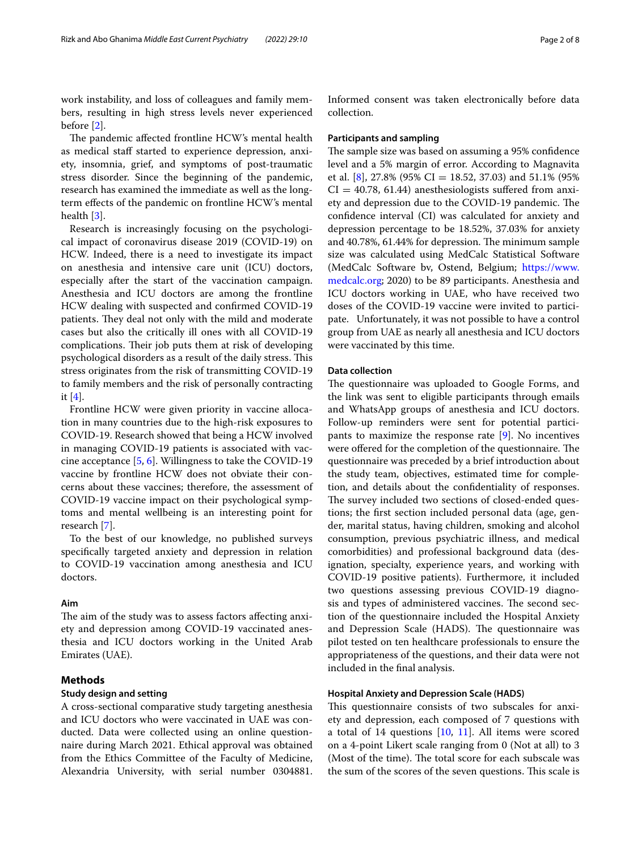work instability, and loss of colleagues and family members, resulting in high stress levels never experienced before [\[2](#page-6-1)].

The pandemic affected frontline HCW's mental health as medical staff started to experience depression, anxiety, insomnia, grief, and symptoms of post-traumatic stress disorder. Since the beginning of the pandemic, research has examined the immediate as well as the longterm efects of the pandemic on frontline HCW's mental health [[3\]](#page-6-2).

Research is increasingly focusing on the psychological impact of coronavirus disease 2019 (COVID-19) on HCW. Indeed, there is a need to investigate its impact on anesthesia and intensive care unit (ICU) doctors, especially after the start of the vaccination campaign. Anesthesia and ICU doctors are among the frontline HCW dealing with suspected and confrmed COVID-19 patients. They deal not only with the mild and moderate cases but also the critically ill ones with all COVID-19 complications. Their job puts them at risk of developing psychological disorders as a result of the daily stress. This stress originates from the risk of transmitting COVID-19 to family members and the risk of personally contracting it [\[4\]](#page-6-3).

Frontline HCW were given priority in vaccine allocation in many countries due to the high-risk exposures to COVID-19. Research showed that being a HCW involved in managing COVID-19 patients is associated with vaccine acceptance [[5,](#page-6-4) [6](#page-6-5)]. Willingness to take the COVID-19 vaccine by frontline HCW does not obviate their concerns about these vaccines; therefore, the assessment of COVID-19 vaccine impact on their psychological symptoms and mental wellbeing is an interesting point for research [[7\]](#page-7-0).

To the best of our knowledge, no published surveys specifcally targeted anxiety and depression in relation to COVID-19 vaccination among anesthesia and ICU doctors.

## **Aim**

The aim of the study was to assess factors affecting anxiety and depression among COVID-19 vaccinated anesthesia and ICU doctors working in the United Arab Emirates (UAE).

## **Methods**

## **Study design and setting**

A cross-sectional comparative study targeting anesthesia and ICU doctors who were vaccinated in UAE was conducted. Data were collected using an online questionnaire during March 2021. Ethical approval was obtained from the Ethics Committee of the Faculty of Medicine, Alexandria University, with serial number 0304881. Informed consent was taken electronically before data collection.

## **Participants and sampling**

The sample size was based on assuming a 95% confidence level and a 5% margin of error. According to Magnavita et al. [\[8\]](#page-7-1), 27.8% (95% CI = 18.52, 37.03) and 51.1% (95%  $CI = 40.78, 61.44$ ) anesthesiologists suffered from anxiety and depression due to the COVID-19 pandemic. The confdence interval (CI) was calculated for anxiety and depression percentage to be 18.52%, 37.03% for anxiety and 40.78%, 61.44% for depression. The minimum sample size was calculated using MedCalc Statistical Software (MedCalc Software bv, Ostend, Belgium; [https://www.](https://www.medcalc.org) [medcalc.org;](https://www.medcalc.org) 2020) to be 89 participants. Anesthesia and ICU doctors working in UAE, who have received two doses of the COVID-19 vaccine were invited to participate. Unfortunately, it was not possible to have a control group from UAE as nearly all anesthesia and ICU doctors were vaccinated by this time.

## **Data collection**

The questionnaire was uploaded to Google Forms, and the link was sent to eligible participants through emails and WhatsApp groups of anesthesia and ICU doctors. Follow-up reminders were sent for potential participants to maximize the response rate [[9\]](#page-7-2). No incentives were offered for the completion of the questionnaire. The questionnaire was preceded by a brief introduction about the study team, objectives, estimated time for completion, and details about the confdentiality of responses. The survey included two sections of closed-ended questions; the frst section included personal data (age, gender, marital status, having children, smoking and alcohol consumption, previous psychiatric illness, and medical comorbidities) and professional background data (designation, specialty, experience years, and working with COVID-19 positive patients). Furthermore, it included two questions assessing previous COVID-19 diagnosis and types of administered vaccines. The second section of the questionnaire included the Hospital Anxiety and Depression Scale (HADS). The questionnaire was pilot tested on ten healthcare professionals to ensure the appropriateness of the questions, and their data were not included in the fnal analysis.

## **Hospital Anxiety and Depression Scale (HADS)**

This questionnaire consists of two subscales for anxiety and depression, each composed of 7 questions with a total of 14 questions [\[10](#page-7-3), [11](#page-7-4)]. All items were scored on a 4-point Likert scale ranging from 0 (Not at all) to 3 (Most of the time). The total score for each subscale was the sum of the scores of the seven questions. This scale is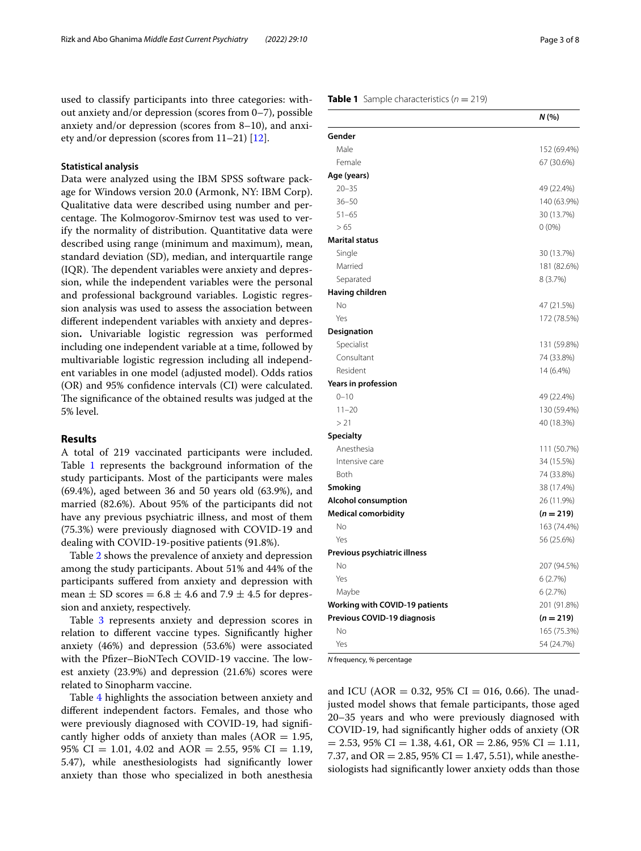used to classify participants into three categories: without anxiety and/or depression (scores from 0–7), possible anxiety and/or depression (scores from 8–10), and anxiety and/or depression (scores from 11–21) [\[12](#page-7-5)].

## **Statistical analysis**

Data were analyzed using the IBM SPSS software package for Windows version 20.0 **(**Armonk, NY: IBM Corp). Qualitative data were described using number and percentage. The Kolmogorov-Smirnov test was used to verify the normality of distribution. Quantitative data were described using range (minimum and maximum), mean, standard deviation (SD), median, and interquartile range  $IQR$ ). The dependent variables were anxiety and depression, while the independent variables were the personal and professional background variables. Logistic regression analysis was used to assess the association between diferent independent variables with anxiety and depression**.** Univariable logistic regression was performed including one independent variable at a time, followed by multivariable logistic regression including all independent variables in one model (adjusted model). Odds ratios (OR) and 95% confdence intervals (CI) were calculated. The significance of the obtained results was judged at the 5% level.

## **Results**

A total of 219 vaccinated participants were included. Table [1](#page-2-0) represents the background information of the study participants. Most of the participants were males (69.4%), aged between 36 and 50 years old (63.9%), and married (82.6%). About 95% of the participants did not have any previous psychiatric illness, and most of them (75.3%) were previously diagnosed with COVID-19 and dealing with COVID-19-positive patients (91.8%).

Table [2](#page-3-0) shows the prevalence of anxiety and depression among the study participants. About 51% and 44% of the participants sufered from anxiety and depression with mean  $\pm$  SD scores = 6.8  $\pm$  4.6 and 7.9  $\pm$  4.5 for depression and anxiety, respectively.

Table [3](#page-3-1) represents anxiety and depression scores in relation to diferent vaccine types. Signifcantly higher anxiety (46%) and depression (53.6%) were associated with the Pfizer-BioNTech COVID-19 vaccine. The lowest anxiety (23.9%) and depression (21.6%) scores were related to Sinopharm vaccine.

Table [4](#page-4-0) highlights the association between anxiety and diferent independent factors. Females, and those who were previously diagnosed with COVID-19, had signifcantly higher odds of anxiety than males  $(AOR = 1.95,$ 95% CI = 1.01, 4.02 and AOR = 2.55, 95% CI = 1.19, 5.47), while anesthesiologists had signifcantly lower anxiety than those who specialized in both anesthesia

## <span id="page-2-0"></span>**Table 1** Sample characteristics  $(n = 219)$

|                                       | N (%)       |
|---------------------------------------|-------------|
| Gender                                |             |
| Male                                  | 152 (69.4%) |
| Female                                | 67 (30.6%)  |
| Age (years)                           |             |
| $20 - 35$                             | 49 (22.4%)  |
| $36 - 50$                             | 140 (63.9%) |
| $51 - 65$                             | 30 (13.7%)  |
| >65                                   | $0(0\%)$    |
| Marital status                        |             |
| Single                                | 30 (13.7%)  |
| Married                               | 181 (82.6%) |
| Separated                             | 8 (3.7%)    |
| Having children                       |             |
| Νo                                    | 47 (21.5%)  |
| Yes                                   | 172 (78.5%) |
| <b>Designation</b>                    |             |
| Specialist                            | 131 (59.8%) |
| Consultant                            | 74 (33.8%)  |
| Resident                              | 14 (6.4%)   |
| Years in profession                   |             |
| $0 - 10$                              | 49 (22.4%)  |
| $11 - 20$                             | 130 (59.4%) |
| > 21                                  | 40 (18.3%)  |
| <b>Specialty</b>                      |             |
| Anesthesia                            | 111 (50.7%) |
| Intensive care                        | 34 (15.5%)  |
| Both                                  | 74 (33.8%)  |
| Smoking                               | 38 (17.4%)  |
| <b>Alcohol consumption</b>            | 26 (11.9%)  |
| <b>Medical comorbidity</b>            | $(n = 219)$ |
| No                                    | 163 (74.4%) |
| Yes                                   | 56 (25.6%)  |
| Previous psychiatric illness          |             |
| No                                    | 207 (94.5%) |
| Yes                                   | 6(2.7%)     |
| Maybe                                 | 6(2.7%)     |
| <b>Working with COVID-19 patients</b> | 201 (91.8%) |
| Previous COVID-19 diagnosis           | $(n = 219)$ |
| No                                    | 165 (75.3%) |
| Yes                                   | 54 (24.7%)  |

*N* frequency, *%* percentage

and ICU (AOR = 0.32, 95% CI = 016, 0.66). The unadjusted model shows that female participants, those aged 20–35 years and who were previously diagnosed with COVID-19, had signifcantly higher odds of anxiety (OR  $= 2.53, 95\% \text{ CI} = 1.38, 4.61, \text{ OR} = 2.86, 95\% \text{ CI} = 1.11,$ 7.37, and OR = 2.85, 95% CI = 1.47, 5.51), while anesthesiologists had signifcantly lower anxiety odds than those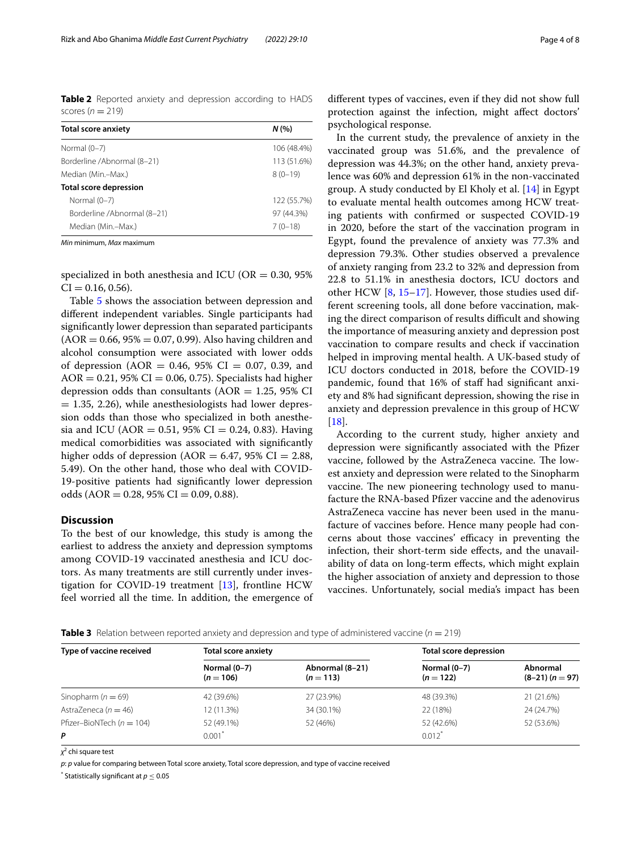<span id="page-3-0"></span>**Table 2** Reported anxiety and depression according to HADS scores  $(n = 219)$ 

| N(%         |
|-------------|
| 106 (48.4%) |
| 113 (51.6%) |
| $8(0-19)$   |
|             |
| 122 (55.7%) |
| 97 (44.3%)  |
| $7(0-18)$   |
|             |

*Min* minimum, *Max* maximum

specialized in both anesthesia and ICU (OR  $= 0.30, 95\%$  $CI = 0.16, 0.56$ .

Table [5](#page-5-0) shows the association between depression and diferent independent variables. Single participants had signifcantly lower depression than separated participants  $(AOR = 0.66, 95\% = 0.07, 0.99)$ . Also having children and alcohol consumption were associated with lower odds of depression (AOR = 0.46, 95% CI = 0.07, 0.39, and  $AOR = 0.21$ , 95% CI = 0.06, 0.75). Specialists had higher depression odds than consultants  $(AOR = 1.25, 95\% \text{ CI})$  $= 1.35, 2.26$ , while anesthesiologists had lower depression odds than those who specialized in both anesthesia and ICU ( $AOR = 0.51$ , 95% CI = 0.24, 0.83). Having medical comorbidities was associated with signifcantly higher odds of depression ( $AOR = 6.47$ , 95% CI = 2.88, 5.49). On the other hand, those who deal with COVID-19-positive patients had signifcantly lower depression odds ( $AOR = 0.28$ , 95%  $CI = 0.09$ , 0.88).

## **Discussion**

To the best of our knowledge, this study is among the earliest to address the anxiety and depression symptoms among COVID-19 vaccinated anesthesia and ICU doctors. As many treatments are still currently under investigation for COVID-19 treatment  $[13]$  $[13]$ , frontline HCW feel worried all the time. In addition, the emergence of

diferent types of vaccines, even if they did not show full protection against the infection, might afect doctors' psychological response.

In the current study, the prevalence of anxiety in the vaccinated group was 51.6%, and the prevalence of depression was 44.3%; on the other hand, anxiety prevalence was 60% and depression 61% in the non-vaccinated group. A study conducted by El Kholy et al. [[14\]](#page-7-7) in Egypt to evaluate mental health outcomes among HCW treating patients with confrmed or suspected COVID-19 in 2020, before the start of the vaccination program in Egypt, found the prevalence of anxiety was 77.3% and depression 79.3%. Other studies observed a prevalence of anxiety ranging from 23.2 to 32% and depression from 22.8 to 51.1% in anesthesia doctors, ICU doctors and other HCW [\[8](#page-7-1), [15](#page-7-8)[–17\]](#page-7-9). However, those studies used different screening tools, all done before vaccination, making the direct comparison of results difficult and showing the importance of measuring anxiety and depression post vaccination to compare results and check if vaccination helped in improving mental health. A UK-based study of ICU doctors conducted in 2018, before the COVID-19 pandemic, found that 16% of staff had significant anxiety and 8% had signifcant depression, showing the rise in anxiety and depression prevalence in this group of HCW  $[18]$  $[18]$ .

According to the current study, higher anxiety and depression were signifcantly associated with the Pfzer vaccine, followed by the AstraZeneca vaccine. The lowest anxiety and depression were related to the Sinopharm vaccine. The new pioneering technology used to manufacture the RNA-based Pfzer vaccine and the adenovirus AstraZeneca vaccine has never been used in the manufacture of vaccines before. Hence many people had concerns about those vaccines' efficacy in preventing the infection, their short-term side efects, and the unavailability of data on long-term efects, which might explain the higher association of anxiety and depression to those vaccines. Unfortunately, social media's impact has been

<span id="page-3-1"></span>**Table 3** Relation between reported anxiety and depression and type of administered vaccine (*n* = 219)

| Type of vaccine received      | <b>Total score anxiety</b>    |                              | <b>Total score depression</b> |                             |  |
|-------------------------------|-------------------------------|------------------------------|-------------------------------|-----------------------------|--|
|                               | Normal $(0-7)$<br>$(n = 106)$ | Abnormal (8-21)<br>$(n=113)$ | Normal $(0-7)$<br>$(n = 122)$ | Abnormal<br>$(8-21) (n=97)$ |  |
| Sinopharm ( $n = 69$ )        | 42 (39.6%)                    | 27 (23.9%)                   | 48 (39.3%)                    | 21 (21.6%)                  |  |
| AstraZeneca ( $n = 46$ )      | 12 (11.3%)                    | 34 (30.1%)                   | 22 (18%)                      | 24 (24.7%)                  |  |
| Pfizer-BioNTech ( $n = 104$ ) | 52 (49.1%)                    | 52 (46%)                     | 52 (42.6%)                    | 52 (53.6%)                  |  |
| P                             | 0.001'                        |                              | $0.012$ <sup>*</sup>          |                             |  |

*χ*2 chi square test

*p*: *p* value for comparing between Total score anxiety, Total score depression, and type of vaccine received

 $^*$  Statistically significant at  $p\leq$  0.05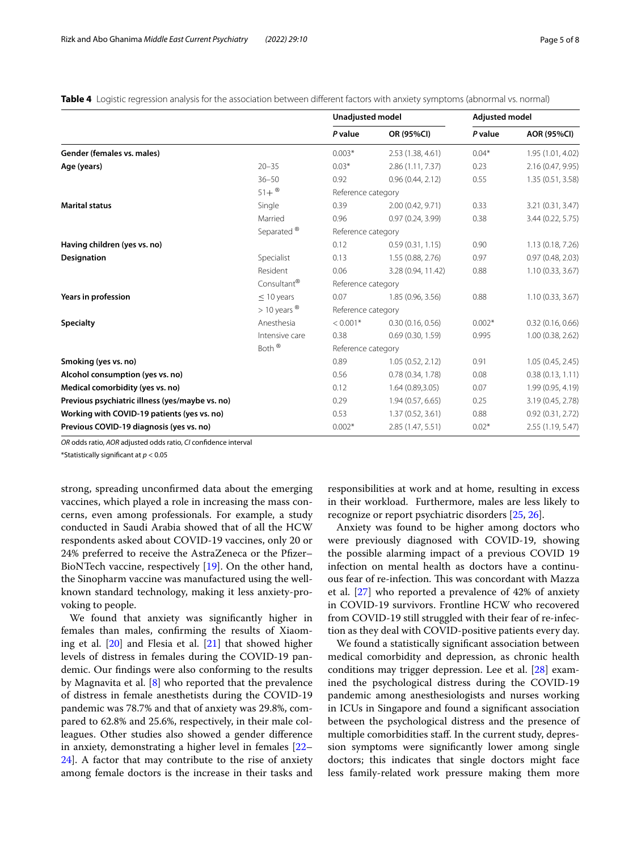<span id="page-4-0"></span>**Table 4** Logistic regression analysis for the association between different factors with anxiety symptoms (abnormal vs. normal)

|                                                 |                             | Unadjusted model   |                    | <b>Adjusted model</b> |                    |
|-------------------------------------------------|-----------------------------|--------------------|--------------------|-----------------------|--------------------|
|                                                 |                             | P value            | OR (95%CI)         | P value               | <b>AOR (95%CI)</b> |
| Gender (females vs. males)                      |                             | $0.003*$           | 2.53 (1.38, 4.61)  | $0.04*$               | 1.95 (1.01, 4.02)  |
| Age (years)                                     | $20 - 35$                   | $0.03*$            | 2.86 (1.11, 7.37)  | 0.23                  | 2.16 (0.47, 9.95)  |
|                                                 | $36 - 50$                   | 0.92               | 0.96(0.44, 2.12)   | 0.55                  | 1.35 (0.51, 3.58)  |
|                                                 | $51 +$ <sup>®</sup>         | Reference category |                    |                       |                    |
| <b>Marital status</b>                           | Single                      | 0.39               | 2.00 (0.42, 9.71)  | 0.33                  | 3.21 (0.31, 3.47)  |
|                                                 | Married                     | 0.96               | 0.97(0.24, 3.99)   | 0.38                  | 3.44 (0.22, 5.75)  |
|                                                 | Separated <sup>®</sup>      | Reference category |                    |                       |                    |
| Having children (yes vs. no)                    |                             | 0.12               | 0.59(0.31, 1.15)   | 0.90                  | 1.13 (0.18, 7.26)  |
| Designation                                     | Specialist                  | 0.13               | 1.55 (0.88, 2.76)  | 0.97                  | 0.97 (0.48, 2.03)  |
|                                                 | Resident                    | 0.06               | 3.28 (0.94, 11.42) | 0.88                  | 1.10(0.33, 3.67)   |
|                                                 | Consultant <sup>®</sup>     | Reference category |                    |                       |                    |
| Years in profession                             | $< 10$ years                | 0.07               | 1.85 (0.96, 3.56)  | 0.88                  | 1.10(0.33, 3.67)   |
|                                                 | $> 10$ years $^{\circledR}$ | Reference category |                    |                       |                    |
| <b>Specialty</b>                                | Anesthesia                  | $< 0.001*$         | 0.30(0.16, 0.56)   | $0.002*$              | 0.32(0.16, 0.66)   |
|                                                 | Intensive care              | 0.38               | 0.69(0.30, 1.59)   | 0.995                 | 1.00(0.38, 2.62)   |
|                                                 | Both <sup>®</sup>           | Reference category |                    |                       |                    |
| Smoking (yes vs. no)                            |                             | 0.89               | 1.05(0.52, 2.12)   | 0.91                  | 1.05 (0.45, 2.45)  |
| Alcohol consumption (yes vs. no)                |                             | 0.56               | 0.78(0.34, 1.78)   | 0.08                  | 0.38(0.13, 1.11)   |
| Medical comorbidity (yes vs. no)                |                             | 0.12               | 1.64(0.89, 3.05)   | 0.07                  | 1.99 (0.95, 4.19)  |
| Previous psychiatric illness (yes/maybe vs. no) |                             | 0.29               | 1.94(0.57, 6.65)   | 0.25                  | 3.19 (0.45, 2.78)  |
| Working with COVID-19 patients (yes vs. no)     |                             | 0.53               | 1.37(0.52, 3.61)   | 0.88                  | 0.92(0.31, 2.72)   |
| Previous COVID-19 diagnosis (yes vs. no)        |                             | $0.002*$           | 2.85 (1.47, 5.51)  | $0.02*$               | 2.55 (1.19, 5.47)  |
|                                                 |                             |                    |                    |                       |                    |

*OR* odds ratio, *AOR* adjusted odds ratio, *CI* confdence interval

\*Statistically signifcant at *p* < 0.05

strong, spreading unconfrmed data about the emerging vaccines, which played a role in increasing the mass concerns, even among professionals. For example, a study conducted in Saudi Arabia showed that of all the HCW respondents asked about COVID-19 vaccines, only 20 or 24% preferred to receive the AstraZeneca or the Pfizer-BioNTech vaccine, respectively [[19\]](#page-7-11). On the other hand, the Sinopharm vaccine was manufactured using the wellknown standard technology, making it less anxiety-provoking to people.

We found that anxiety was signifcantly higher in females than males, confrming the results of Xiaoming et al. [\[20](#page-7-12)] and Flesia et al. [\[21](#page-7-13)] that showed higher levels of distress in females during the COVID-19 pandemic. Our fndings were also conforming to the results by Magnavita et al. [\[8](#page-7-1)] who reported that the prevalence of distress in female anesthetists during the COVID-19 pandemic was 78.7% and that of anxiety was 29.8%, compared to 62.8% and 25.6%, respectively, in their male colleagues. Other studies also showed a gender diference in anxiety, demonstrating a higher level in females [[22–](#page-7-14) [24\]](#page-7-15). A factor that may contribute to the rise of anxiety among female doctors is the increase in their tasks and responsibilities at work and at home, resulting in excess in their workload. Furthermore, males are less likely to recognize or report psychiatric disorders [[25](#page-7-16), [26\]](#page-7-17).

Anxiety was found to be higher among doctors who were previously diagnosed with COVID-19, showing the possible alarming impact of a previous COVID 19 infection on mental health as doctors have a continuous fear of re-infection. This was concordant with Mazza et al. [\[27](#page-7-18)] who reported a prevalence of 42% of anxiety in COVID-19 survivors. Frontline HCW who recovered from COVID-19 still struggled with their fear of re-infection as they deal with COVID-positive patients every day.

We found a statistically signifcant association between medical comorbidity and depression, as chronic health conditions may trigger depression. Lee et al. [[28\]](#page-7-19) examined the psychological distress during the COVID-19 pandemic among anesthesiologists and nurses working in ICUs in Singapore and found a signifcant association between the psychological distress and the presence of multiple comorbidities staf. In the current study, depression symptoms were signifcantly lower among single doctors; this indicates that single doctors might face less family-related work pressure making them more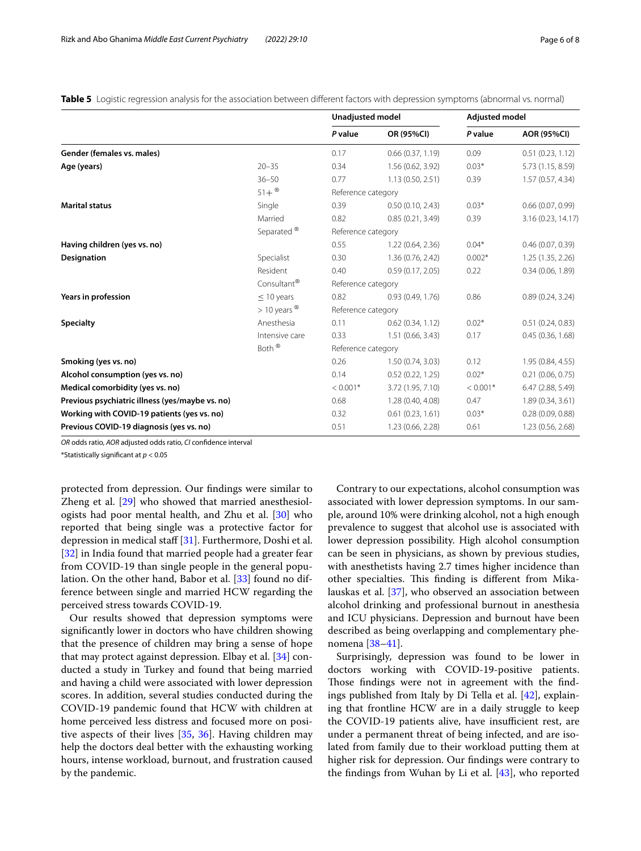<span id="page-5-0"></span>**Table 5** Logistic regression analysis for the association between different factors with depression symptoms (abnormal vs. normal)

|                                                 |                                              | Unadjusted model   |                   | Adjusted model |                     |
|-------------------------------------------------|----------------------------------------------|--------------------|-------------------|----------------|---------------------|
|                                                 |                                              | P value            | OR (95%CI)        | P value        | AOR (95%CI)         |
| Gender (females vs. males)                      |                                              | 0.17               | 0.66(0.37, 1.19)  | 0.09           | 0.51(0.23, 1.12)    |
| Age (years)                                     | $20 - 35$                                    | 0.34               | 1.56 (0.62, 3.92) | $0.03*$        | 5.73 (1.15, 8.59)   |
|                                                 | $36 - 50$                                    | 0.77               | 1.13(0.50, 2.51)  | 0.39           | 1.57(0.57, 4.34)    |
|                                                 | $51 +$ <sup>®</sup>                          | Reference category |                   |                |                     |
| <b>Marital status</b>                           | Single                                       | 0.39               | 0.50(0.10, 2.43)  | $0.03*$        | 0.66(0.07, 0.99)    |
|                                                 | Married                                      | 0.82               | 0.85(0.21, 3.49)  | 0.39           | 3.16 (0.23, 14.17)  |
|                                                 | Separated <sup>®</sup><br>Reference category |                    |                   |                |                     |
| Having children (yes vs. no)                    |                                              | 0.55               | 1.22 (0.64, 2.36) | $0.04*$        | 0.46(0.07, 0.39)    |
| Designation                                     | Specialist                                   | 0.30               | 1.36 (0.76, 2.42) | $0.002*$       | 1.25(1.35, 2.26)    |
|                                                 | Resident                                     | 0.40               | 0.59(0.17, 2.05)  | 0.22           | 0.34(0.06, 1.89)    |
|                                                 | Consultant <sup>®</sup>                      | Reference category |                   |                |                     |
| Years in profession                             | $< 10$ years                                 | 0.82               | 0.93(0.49, 1.76)  | 0.86           | 0.89(0.24, 3.24)    |
|                                                 | $>$ 10 years $^{\circledR}$                  | Reference category |                   |                |                     |
| <b>Specialty</b>                                | Anesthesia                                   | 0.11               | 0.62(0.34, 1.12)  | $0.02*$        | 0.51(0.24, 0.83)    |
|                                                 | Intensive care                               | 0.33               | 1.51(0.66, 3.43)  | 0.17           | 0.45(0.36, 1.68)    |
|                                                 | Both $^{\circledR}$                          | Reference category |                   |                |                     |
| Smoking (yes vs. no)                            |                                              | 0.26               | 1.50 (0.74, 3.03) | 0.12           | 1.95 (0.84, 4.55)   |
| Alcohol consumption (yes vs. no)                |                                              | 0.14               | 0.52(0.22, 1.25)  | $0.02*$        | $0.21$ (0.06, 0.75) |
| Medical comorbidity (yes vs. no)                |                                              | $< 0.001*$         | 3.72 (1.95, 7.10) | $< 0.001*$     | 6.47(2.88, 5.49)    |
| Previous psychiatric illness (yes/maybe vs. no) |                                              | 0.68               | 1.28 (0.40, 4.08) | 0.47           | 1.89 (0.34, 3.61)   |
| Working with COVID-19 patients (yes vs. no)     |                                              | 0.32               | 0.61(0.23, 1.61)  | $0.03*$        | 0.28(0.09, 0.88)    |
| Previous COVID-19 diagnosis (yes vs. no)        |                                              | 0.51               | 1.23 (0.66, 2.28) | 0.61           | 1.23 (0.56, 2.68)   |

*OR* odds ratio, *AOR* adjusted odds ratio, *CI* confdence interval

\*Statistically signifcant at *p* < 0.05

protected from depression. Our fndings were similar to Zheng et al. [[29](#page-7-20)] who showed that married anesthesiologists had poor mental health, and Zhu et al. [\[30](#page-7-21)] who reported that being single was a protective factor for depression in medical staff [\[31](#page-7-22)]. Furthermore, Doshi et al. [[32\]](#page-7-23) in India found that married people had a greater fear from COVID-19 than single people in the general population. On the other hand, Babor et al. [\[33\]](#page-7-24) found no difference between single and married HCW regarding the perceived stress towards COVID-19.

Our results showed that depression symptoms were signifcantly lower in doctors who have children showing that the presence of children may bring a sense of hope that may protect against depression. Elbay et al. [[34](#page-7-25)] conducted a study in Turkey and found that being married and having a child were associated with lower depression scores. In addition, several studies conducted during the COVID-19 pandemic found that HCW with children at home perceived less distress and focused more on positive aspects of their lives [[35](#page-7-26), [36](#page-7-27)]. Having children may help the doctors deal better with the exhausting working hours, intense workload, burnout, and frustration caused by the pandemic.

Contrary to our expectations, alcohol consumption was associated with lower depression symptoms. In our sample, around 10% were drinking alcohol, not a high enough prevalence to suggest that alcohol use is associated with lower depression possibility. High alcohol consumption can be seen in physicians, as shown by previous studies, with anesthetists having 2.7 times higher incidence than other specialties. This finding is different from Mikalauskas et al. [[37](#page-7-28)], who observed an association between alcohol drinking and professional burnout in anesthesia and ICU physicians. Depression and burnout have been described as being overlapping and complementary phenomena [\[38](#page-7-29)[–41](#page-7-30)].

Surprisingly, depression was found to be lower in doctors working with COVID-19-positive patients. Those findings were not in agreement with the findings published from Italy by Di Tella et al. [\[42\]](#page-7-31), explaining that frontline HCW are in a daily struggle to keep the COVID-19 patients alive, have insufficient rest, are under a permanent threat of being infected, and are isolated from family due to their workload putting them at higher risk for depression. Our fndings were contrary to the fndings from Wuhan by Li et al. [[43\]](#page-7-32), who reported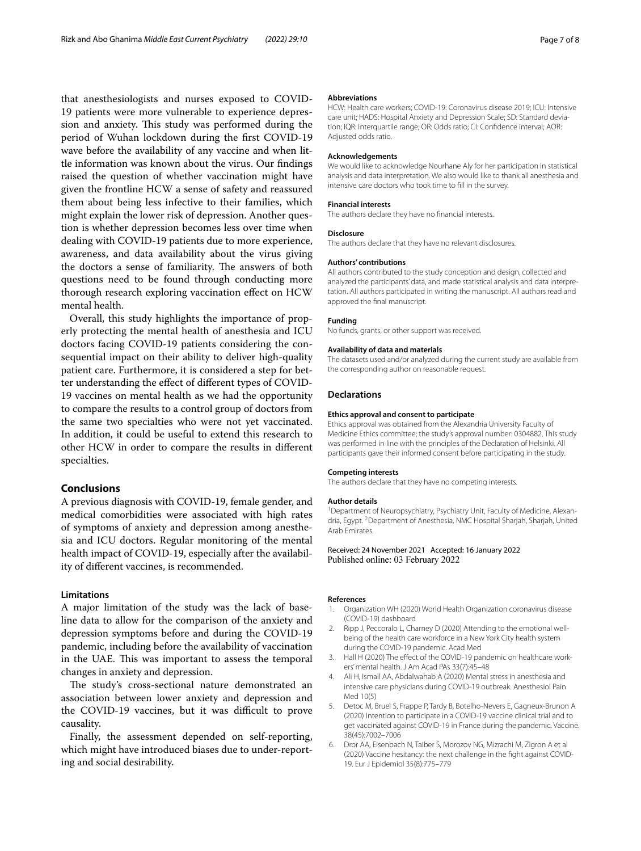that anesthesiologists and nurses exposed to COVID-19 patients were more vulnerable to experience depression and anxiety. This study was performed during the period of Wuhan lockdown during the frst COVID-19 wave before the availability of any vaccine and when little information was known about the virus. Our fndings raised the question of whether vaccination might have given the frontline HCW a sense of safety and reassured them about being less infective to their families, which might explain the lower risk of depression. Another question is whether depression becomes less over time when dealing with COVID-19 patients due to more experience, awareness, and data availability about the virus giving the doctors a sense of familiarity. The answers of both questions need to be found through conducting more thorough research exploring vaccination efect on HCW mental health.

Overall, this study highlights the importance of properly protecting the mental health of anesthesia and ICU doctors facing COVID-19 patients considering the consequential impact on their ability to deliver high-quality patient care. Furthermore, it is considered a step for better understanding the efect of diferent types of COVID-19 vaccines on mental health as we had the opportunity to compare the results to a control group of doctors from the same two specialties who were not yet vaccinated. In addition, it could be useful to extend this research to other HCW in order to compare the results in diferent specialties.

## **Conclusions**

A previous diagnosis with COVID-19, female gender, and medical comorbidities were associated with high rates of symptoms of anxiety and depression among anesthesia and ICU doctors. Regular monitoring of the mental health impact of COVID-19, especially after the availability of diferent vaccines, is recommended.

### **Limitations**

A major limitation of the study was the lack of baseline data to allow for the comparison of the anxiety and depression symptoms before and during the COVID-19 pandemic, including before the availability of vaccination in the UAE. This was important to assess the temporal changes in anxiety and depression.

The study's cross-sectional nature demonstrated an association between lower anxiety and depression and the COVID-19 vaccines, but it was difficult to prove causality.

Finally, the assessment depended on self-reporting, which might have introduced biases due to under-reporting and social desirability.

#### **Abbreviations**

HCW: Health care workers; COVID-19: Coronavirus disease 2019; ICU: Intensive care unit; HADS: Hospital Anxiety and Depression Scale; SD: Standard deviation; IQR: Interquartile range; OR: Odds ratio; CI: Confdence interval; AOR: Adjusted odds ratio.

#### **Acknowledgements**

We would like to acknowledge Nourhane Aly for her participation in statistical analysis and data interpretation. We also would like to thank all anesthesia and intensive care doctors who took time to fll in the survey.

#### **Financial interests**

The authors declare they have no fnancial interests.

#### **Disclosure**

The authors declare that they have no relevant disclosures.

#### **Authors' contributions**

All authors contributed to the study conception and design, collected and analyzed the participants' data, and made statistical analysis and data interpretation. All authors participated in writing the manuscript. All authors read and approved the fnal manuscript.

#### **Funding**

No funds, grants, or other support was received.

#### **Availability of data and materials**

The datasets used and/or analyzed during the current study are available from the corresponding author on reasonable request.

## **Declarations**

#### **Ethics approval and consent to participate**

Ethics approval was obtained from the Alexandria University Faculty of Medicine Ethics committee; the study's approval number: 0304882. This study was performed in line with the principles of the Declaration of Helsinki. All participants gave their informed consent before participating in the study.

#### **Competing interests**

The authors declare that they have no competing interests.

#### **Author details**

<sup>1</sup> Department of Neuropsychiatry, Psychiatry Unit, Faculty of Medicine, Alexandria, Egypt. <sup>2</sup> Department of Anesthesia, NMC Hospital Sharjah, Sharjah, United Arab Emirates.

Received: 24 November 2021 Accepted: 16 January 2022 Published online: 03 February 2022

#### **References**

- <span id="page-6-0"></span>1. Organization WH (2020) World Health Organization coronavirus disease (COVID-19) dashboard
- <span id="page-6-1"></span>2. Ripp J, Peccoralo L, Charney D (2020) Attending to the emotional wellbeing of the health care workforce in a New York City health system during the COVID-19 pandemic. Acad Med
- <span id="page-6-2"></span>3. Hall H (2020) The effect of the COVID-19 pandemic on healthcare workers' mental health. J Am Acad PAs 33(7):45–48
- <span id="page-6-3"></span>Ali H, Ismail AA, Abdalwahab A (2020) Mental stress in anesthesia and intensive care physicians during COVID-19 outbreak. Anesthesiol Pain Med 10(5)
- <span id="page-6-4"></span>5. Detoc M, Bruel S, Frappe P, Tardy B, Botelho-Nevers E, Gagneux-Brunon A (2020) Intention to participate in a COVID-19 vaccine clinical trial and to get vaccinated against COVID-19 in France during the pandemic. Vaccine. 38(45):7002–7006
- <span id="page-6-5"></span>6. Dror AA, Eisenbach N, Taiber S, Morozov NG, Mizrachi M, Zigron A et al (2020) Vaccine hesitancy: the next challenge in the fght against COVID-19. Eur J Epidemiol 35(8):775–779